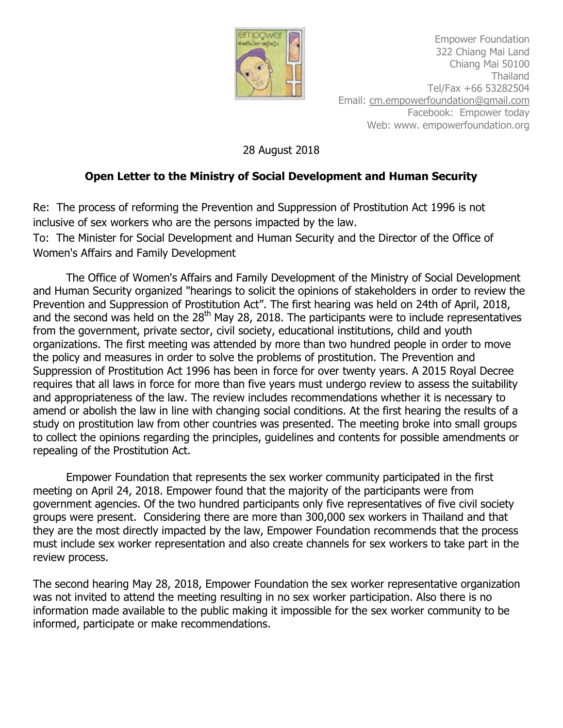

Empower Foundation 322 Chiang Mai Land Chiang Mai 50100 Thailand Tel/Fax +66 53282504 Email: [cm.empowerfoundation@gmail.com](mailto:cm.empowerfoundation@gmail.com) Facebook: Empower today Web: www. empowerfoundation.org

28 August 2018

## **Open Letter to the Ministry of Social Development and Human Security**

Re: The process of reforming the Prevention and Suppression of Prostitution Act 1996 is not inclusive of sex workers who are the persons impacted by the law.

To: The Minister for Social Development and Human Security and the Director of the Office of Women's Affairs and Family Development

The Office of Women's Affairs and Family Development of the Ministry of Social Development and Human Security organized "hearings to solicit the opinions of stakeholders in order to review the Prevention and Suppression of Prostitution Act". The first hearing was held on 24th of April, 2018, and the second was held on the  $28<sup>th</sup>$  May 28, 2018. The participants were to include representatives from the government, private sector, civil society, educational institutions, child and youth organizations. The first meeting was attended by more than two hundred people in order to move the policy and measures in order to solve the problems of prostitution. The Prevention and Suppression of Prostitution Act 1996 has been in force for over twenty years. A 2015 Royal Decree requires that all laws in force for more than five years must undergo review to assess the suitability and appropriateness of the law. The review includes recommendations whether it is necessary to amend or abolish the law in line with changing social conditions. At the first hearing the results of a study on prostitution law from other countries was presented. The meeting broke into small groups to collect the opinions regarding the principles, guidelines and contents for possible amendments or repealing of the Prostitution Act.

Empower Foundation that represents the sex worker community participated in the first meeting on April 24, 2018. Empower found that the majority of the participants were from government agencies. Of the two hundred participants only five representatives of five civil society groups were present. Considering there are more than 300,000 sex workers in Thailand and that they are the most directly impacted by the law, Empower Foundation recommends that the process must include sex worker representation and also create channels for sex workers to take part in the review process.

The second hearing May 28, 2018, Empower Foundation the sex worker representative organization was not invited to attend the meeting resulting in no sex worker participation. Also there is no information made available to the public making it impossible for the sex worker community to be informed, participate or make recommendations.